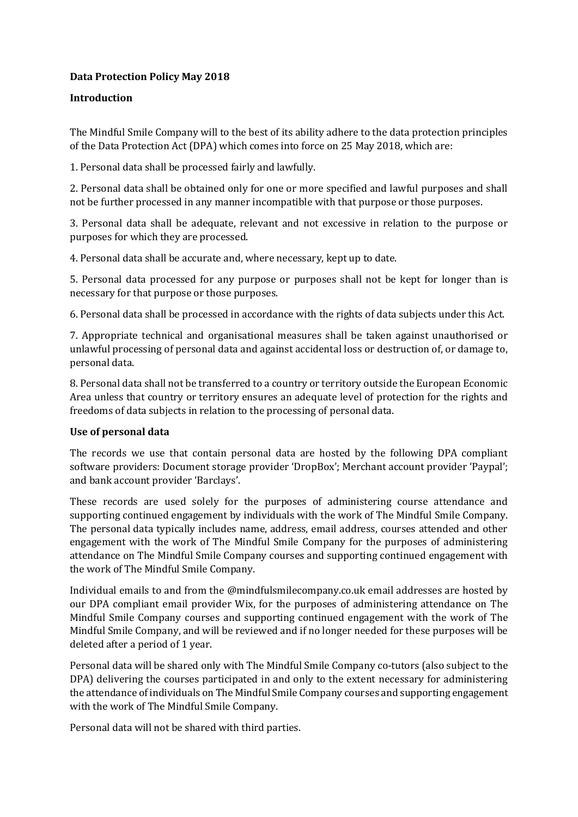# **Data Protection Policy May 2018**

## **Introduction**

The Mindful Smile Company will to the best of its ability adhere to the data protection principles of the Data Protection Act (DPA) which comes into force on 25 May 2018, which are:

1. Personal data shall be processed fairly and lawfully.

2. Personal data shall be obtained only for one or more specified and lawful purposes and shall not be further processed in any manner incompatible with that purpose or those purposes.

3. Personal data shall be adequate, relevant and not excessive in relation to the purpose or purposes for which they are processed.

4. Personal data shall be accurate and, where necessary, kept up to date.

5. Personal data processed for any purpose or purposes shall not be kept for longer than is necessary for that purpose or those purposes.

6. Personal data shall be processed in accordance with the rights of data subjects under this Act.

7. Appropriate technical and organisational measures shall be taken against unauthorised or unlawful processing of personal data and against accidental loss or destruction of, or damage to, personal data.

8. Personal data shall not be transferred to a country or territory outside the European Economic Area unless that country or territory ensures an adequate level of protection for the rights and freedoms of data subjects in relation to the processing of personal data.

## **Use of personal data**

The records we use that contain personal data are hosted by the following DPA compliant software providers: Document storage provider 'DropBox'; Merchant account provider 'Paypal'; and bank account provider 'Barclays'.

These records are used solely for the purposes of administering course attendance and supporting continued engagement by individuals with the work of The Mindful Smile Company. The personal data typically includes name, address, email address, courses attended and other engagement with the work of The Mindful Smile Company for the purposes of administering attendance on The Mindful Smile Company courses and supporting continued engagement with the work of The Mindful Smile Company.

Individual emails to and from the @mindfulsmilecompany.co.uk email addresses are hosted by our DPA compliant email provider Wix, for the purposes of administering attendance on The Mindful Smile Company courses and supporting continued engagement with the work of The Mindful Smile Company, and will be reviewed and if no longer needed for these purposes will be deleted after a period of 1 year.

Personal data will be shared only with The Mindful Smile Company co-tutors (also subject to the DPA) delivering the courses participated in and only to the extent necessary for administering the attendance of individuals on The Mindful Smile Company courses and supporting engagement with the work of The Mindful Smile Company.

Personal data will not be shared with third parties.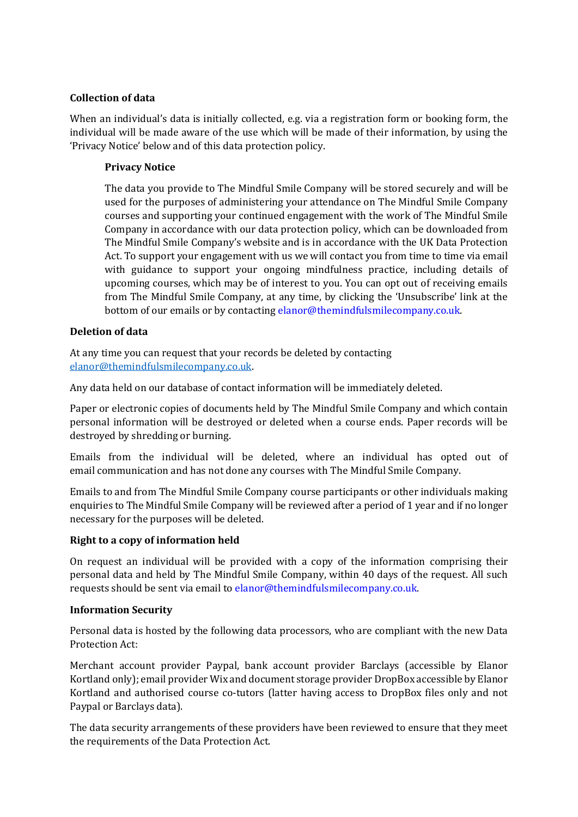## **Collection of data**

When an individual's data is initially collected, e.g. via a registration form or booking form, the individual will be made aware of the use which will be made of their information, by using the 'Privacy Notice' below and of this data protection policy.

### **Privacy Notice**

The data you provide to The Mindful Smile Company will be stored securely and will be used for the purposes of administering your attendance on The Mindful Smile Company courses and supporting your continued engagement with the work of The Mindful Smile Company in accordance with our data protection policy, which can be downloaded from The Mindful Smile Company's website and is in accordance with the UK Data Protection Act. To support your engagement with us we will contact you from time to time via email with guidance to support your ongoing mindfulness practice, including details of upcoming courses, which may be of interest to you. You can opt out of receiving emails from The Mindful Smile Company, at any time, by clicking the 'Unsubscribe' link at the bottom of our emails or by contacting elanor@themindfulsmilecompany.co.uk.

## **Deletion of data**

At any time you can request that your records be deleted by contacting [elanor@themindfulsmilecompany.co.uk.](mailto:elanor@themindfulsmilecompany.co.uk)

Any data held on our database of contact information will be immediately deleted.

Paper or electronic copies of documents held by The Mindful Smile Company and which contain personal information will be destroyed or deleted when a course ends. Paper records will be destroyed by shredding or burning.

Emails from the individual will be deleted, where an individual has opted out of email communication and has not done any courses with The Mindful Smile Company.

Emails to and from The Mindful Smile Company course participants or other individuals making enquiries to The Mindful Smile Company will be reviewed after a period of 1 year and if no longer necessary for the purposes will be deleted.

## **Right to a copy of information held**

On request an individual will be provided with a copy of the information comprising their personal data and held by The Mindful Smile Company, within 40 days of the request. All such requests should be sent via email to elanor@themindfulsmilecompany.co.uk.

## **Information Security**

Personal data is hosted by the following data processors, who are compliant with the new Data Protection Act:

Merchant account provider Paypal, bank account provider Barclays (accessible by Elanor Kortland only); email provider Wix and document storage provider DropBox accessible by Elanor Kortland and authorised course co-tutors (latter having access to DropBox files only and not Paypal or Barclays data).

The data security arrangements of these providers have been reviewed to ensure that they meet the requirements of the Data Protection Act.